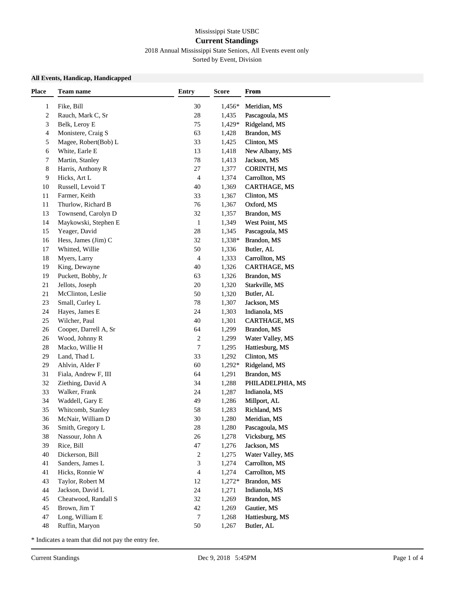## Mississippi State USBC **Current Standings**

# 2018 Annual Mississippi State Seniors, All Events event only

Sorted by Event, Division

### **All Events, Handicap, Handicapped**

| <b>Place</b> | Team name             | <b>Entry</b> | <b>Score</b> | <b>From</b>         |  |
|--------------|-----------------------|--------------|--------------|---------------------|--|
| 1            | Fike, Bill            | 30           | 1,456*       | Meridian, MS        |  |
| 2            | Rauch, Mark C, Sr     | 28           | 1,435        | Pascagoula, MS      |  |
| 3            | Belk, Leroy E         | 75           | 1,429*       | Ridgeland, MS       |  |
| 4            | Monistere, Craig S    | 63           | 1,428        | Brandon, MS         |  |
| 5            | Magee, Robert(Bob) L  | 33           | 1,425        | Clinton, MS         |  |
| 6            | White, Earle E        | 13           | 1,418        | New Albany, MS      |  |
| 7            | Martin, Stanley       | 78           | 1,413        | Jackson, MS         |  |
| 8            | Harris, Anthony R     | 27           | 1,377        | <b>CORINTH, MS</b>  |  |
| 9            | Hicks, Art L          | 4            | 1,374        | Carrollton, MS      |  |
| 10           | Russell, Levoid T     | 40           | 1,369        | <b>CARTHAGE, MS</b> |  |
| 11           | Farmer, Keith         | 33           | 1,367        | Clinton, MS         |  |
| 11           | Thurlow, Richard B    | 76           | 1,367        | Oxford, MS          |  |
| 13           | Townsend, Carolyn D   | 32           | 1,357        | Brandon, MS         |  |
| 14           | Maykowski, Stephen E  | $\mathbf{1}$ | 1,349        | West Point, MS      |  |
| 15           | Yeager, David         | 28           | 1,345        | Pascagoula, MS      |  |
| 16           | Hess, James (Jim) C   | 32           | 1,338*       | Brandon, MS         |  |
| 17           | Whitted, Willie       | 50           | 1,336        | Butler, AL          |  |
| 18           | Myers, Larry          | 4            | 1,333        | Carrollton, MS      |  |
| 19           | King, Dewayne         | 40           | 1,326        | CARTHAGE, MS        |  |
| 19           | Puckett, Bobby, Jr    | 63           | 1,326        | Brandon, MS         |  |
| 21           | Jellots, Joseph       | 20           | 1,320        | Starkville, MS      |  |
| 21           | McClinton, Leslie     | 50           | 1,320        | Butler, AL          |  |
| 23           | Small, Curley L       | 78           | 1,307        | Jackson, MS         |  |
| 24           | Hayes, James E        | 24           | 1,303        | Indianola, MS       |  |
| 25           | Wilcher, Paul         | 40           | 1,301        | CARTHAGE, MS        |  |
| 26           | Cooper, Darrell A, Sr | 64           | 1,299        | Brandon, MS         |  |
| 26           | Wood, Johnny R        | 2            | 1,299        | Water Valley, MS    |  |
| 28           | Macko, Willie H       | 7            | 1,295        | Hattiesburg, MS     |  |
| 29           | Land, Thad L          | 33           | 1,292        | Clinton, MS         |  |
| 29           | Ahlvin, Alder F       | 60           | 1,292*       | Ridgeland, MS       |  |
| 31           | Fiala, Andrew F, III  | 64           | 1,291        | Brandon, MS         |  |
| 32           | Ziething, David A     | 34           | 1,288        | PHILADELPHIA, MS    |  |
| 33           | Walker, Frank         | 24           | 1,287        | Indianola, MS       |  |
| 34           | Waddell, Gary E       | 49           | 1,286        | Millport, AL        |  |
| 35           | Whitcomb, Stanley     | 58           | 1,283        | Richland, MS        |  |
| 36           | McNair, William D     | 30           | 1,280        | Meridian, MS        |  |
| 36           | Smith, Gregory L      | 28           | 1,280        | Pascagoula, MS      |  |
| 38           | Nassour, John A       | 26           | 1,278        | Vicksburg, MS       |  |
| 39           | Rice, Bill            | 47           | 1,276        | Jackson, MS         |  |
| 40           | Dickerson, Bill       | 2            | 1,275        | Water Valley, MS    |  |
| 41           | Sanders, James L      | 3            | 1,274        | Carrollton, MS      |  |
| 41           | Hicks, Ronnie W       | 4            | 1,274        | Carrollton, MS      |  |
| 43           | Taylor, Robert M      | 12           | 1,272*       | Brandon, MS         |  |
| 44           | Jackson, David L      | 24           | 1,271        | Indianola, MS       |  |
| 45           | Cheatwood, Randall S  | 32           | 1,269        | Brandon, MS         |  |
| 45           | Brown, Jim T          | 42           | 1,269        | Gautier, MS         |  |
| 47           | Long, William E       | 7            | 1,268        | Hattiesburg, MS     |  |
| 48           | Ruffin, Maryon        | 50           | 1,267        | Butler, AL          |  |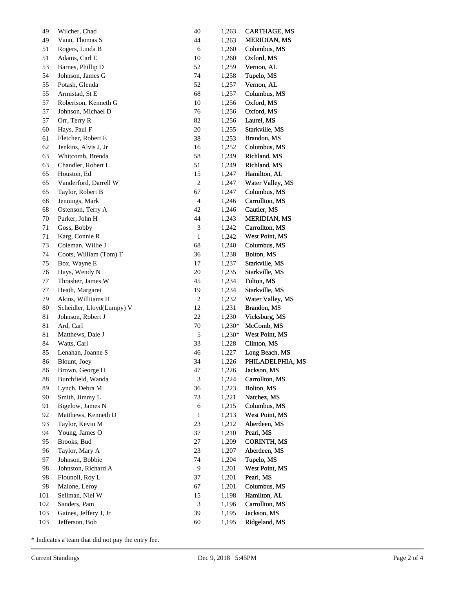| 49  | Wilcher, Chad             | 40                          | 1,263  | CARTHAGE, MS        |
|-----|---------------------------|-----------------------------|--------|---------------------|
| 49  | Vann, Thomas S            | 44                          | 1,263  | <b>MERIDIAN, MS</b> |
| 51  | Rogers, Linda B           | $\sqrt{6}$                  | 1,260  | Columbus, MS        |
| 51  | Adams, Carl E             | $10\,$                      | 1,260  | Oxford, MS          |
| 53  | Barnes, Phillip D         | $52\,$                      | 1,259  | Vernon, AL          |
| 54  | Johnson, James G          | 74                          | 1,258  | Tupelo, MS          |
| 55  | Potash, Glenda            | $52\,$                      | 1,257  | Vernon, AL          |
| 55  | Armistad, St E            | 68                          | 1,257  | Columbus, MS        |
| 57  | Robertson, Kenneth G      | $10\,$                      | 1,256  | Oxford, MS          |
| 57  | Johnson, Michael D        | 76                          | 1,256  | Oxford, MS          |
| 57  | Orr, Terry R              | 82                          | 1,256  | Laurel, MS          |
| 60  | Hays, Paul F              | $20\,$                      | 1,255  | Starkville, MS      |
| 61  | Fletcher, Robert E        | 38                          | 1,253  | Brandon, MS         |
| 62  | Jenkins, Alvis J, Jr      | 16                          | 1,252  | Columbus, MS        |
| 63  | Whitcomb, Brenda          | 58                          | 1,249  | Richland, MS        |
| 63  | Chandler, Robert L        | 51                          | 1,249  | Richland, MS        |
| 65  | Houston, Ed               | 15                          | 1,247  | Hamilton, AL        |
| 65  | Vanderford, Darrell W     | $\sqrt{2}$                  | 1,247  | Water Valley, MS    |
| 65  | Taylor, Robert B          | 67                          | 1,247  | Columbus, MS        |
| 68  | Jennings, Mark            | $\overline{4}$              | 1,246  | Carrollton, MS      |
| 68  | Ostenson, Terry A         | 42                          | 1,246  | Gautier, MS         |
| 70  | Parker, John H            | 44                          | 1,243  | <b>MERIDIAN, MS</b> |
| 71  | Goss, Bobby               | $\boldsymbol{\mathfrak{Z}}$ | 1,242  | Carrollton, MS      |
| 71  | Karg, Connie R            | $\,1\,$                     | 1,242  | West Point, MS      |
| 73  | Coleman, Willie J         | 68                          | 1,240  | Columbus, MS        |
| 74  | Coots, William (Tom) T    | 36                          | 1,238  | Bolton, MS          |
| 75  | Box, Wayne E              | 17                          | 1,237  | Starkville, MS      |
| 76  | Hays, Wendy N             | $20\,$                      | 1,235  | Starkville, MS      |
| 77  | Thrasher, James W         | 45                          | 1,234  | Fulton, MS          |
| 77  | Heath, Margaret           | 19                          | 1,234  | Starkville, MS      |
| 79  | Akins, Williiams H        | $\sqrt{2}$                  | 1,232  | Water Valley, MS    |
| 80  | Scheidler, Lloyd(Lumpy) V | 12                          | 1,231  | Brandon, MS         |
| 81  | Johnson, Robert J         | $22\,$                      | 1,230  | Vicksburg, MS       |
| 81  | Ard, Carl                 | $70\,$                      | 1,230* | McComb, MS          |
| 81  | Matthews, Dale J          | $\sqrt{5}$                  | 1,230* | West Point, MS      |
| 84  | Watts, Carl               | 33                          | 1,228  | Clinton, MS         |
| 85  | Lenahan, Joanne S         | 46                          | 1,227  | Long Beach, MS      |
| 86  | Blount, Joey              | 34                          | 1,226  | PHILADELPHIA, MS    |
| 86  | Brown, George H           | 47                          | 1,226  | Jackson, MS         |
| 88  | Burchfield, Wanda         | $\mathfrak{Z}$              | 1,224  | Carrollton, MS      |
| 89  | Lynch, Debra M            | 36                          | 1,223  | Bolton, MS          |
| 90  | Smith, Jimmy L            | 73                          | 1,221  | Natchez, MS         |
| 91  | Bigelow, James N          | 6                           | 1,215  | Columbus, MS        |
| 92  | Matthews, Kenneth D       | $\mathbf{1}$                | 1,213  | West Point, MS      |
| 93  | Taylor, Kevin M           | 23                          | 1,212  | Aberdeen, MS        |
| 94  | Young, James O            | 37                          | 1,210  | Pearl, MS           |
| 95  | Brooks, Bud               | 27                          | 1,209  | <b>CORINTH, MS</b>  |
| 96  | Taylor, Mary A            | 23                          | 1,207  | Aberdeen, MS        |
| 97  | Johnson, Bobbie           | 74                          | 1,204  | Tupelo, MS          |
| 98  | Johnston, Richard A       | $\boldsymbol{9}$            | 1,201  | West Point, MS      |
| 98  | Flounoil, Roy L           | 37                          | 1,201  | Pearl, MS           |
| 98  | Malone, Leroy             | 67                          | 1,201  | Columbus, MS        |
| 101 | Sellman, Niel W           | 15                          | 1,198  | Hamilton, AL        |
| 102 | Sanders, Pam              | $\mathfrak{Z}$              | 1,196  | Carrollton, MS      |
| 103 | Gaines, Jeffery J, Jr     | 39                          | 1,195  | Jackson, MS         |
| 103 | Jefferson, Bob            | 60                          | 1,195  | Ridgeland, MS       |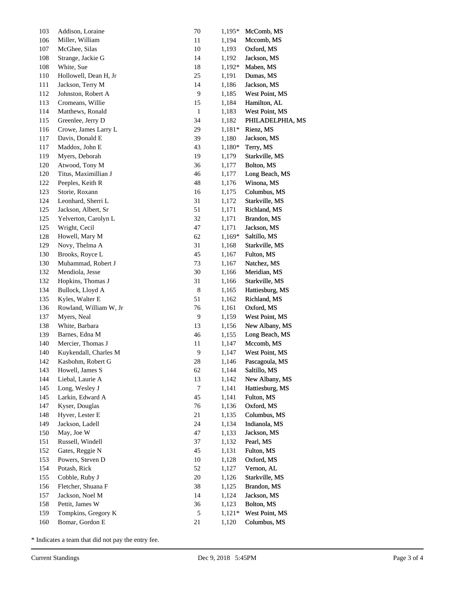| 103     | Addison, Loraine       | 70             | $1,195*$ | McComb, MS       |
|---------|------------------------|----------------|----------|------------------|
| 106     | Miller, William        | 11             | 1,194    | Mccomb, MS       |
| 107     | McGhee, Silas          | $10\,$         | 1,193    | Oxford, MS       |
| 108     | Strange, Jackie G      | 14             | 1,192    | Jackson, MS      |
| 108     | White, Sue             | 18             | 1,192*   | Maben, MS        |
| 110     | Hollowell, Dean H, Jr  | 25             | 1,191    | Dumas, MS        |
| 111     | Jackson, Terry M       | 14             | 1,186    | Jackson, MS      |
| 112     | Johnston, Robert A     | 9              | 1,185    | West Point, MS   |
| 113     | Cromeans, Willie       | 15             | 1,184    | Hamilton, AL     |
| 114     | Matthews, Ronald       | $\mathbf{1}$   | 1,183    | West Point, MS   |
| 115     | Greenlee, Jerry D      | 34             | 1,182    | PHILADELPHIA, MS |
| 116     | Crowe, James Larry L   | 29             | $1,181*$ | Rienz, MS        |
| $117\,$ | Davis, Donald E        | 39             | 1,180    | Jackson, MS      |
| 117     | Maddox, John E         | 43             | 1,180*   | Terry, MS        |
| 119     | Myers, Deborah         | 19             | 1,179    | Starkville, MS   |
| 120     | Atwood, Tony M         | 36             | 1,177    | Bolton, MS       |
| 120     | Titus, Maximillian J   | $46\,$         | 1,177    | Long Beach, MS   |
| 122     | Peeples, Keith R       | 48             | 1,176    | Winona, MS       |
| 123     | Storie, Roxann         | 16             | 1,175    | Columbus, MS     |
| 124     | Leonhard, Sherri L     | 31             | 1,172    | Starkville, MS   |
| $125\,$ | Jackson, Albert, Sr    | 51             | 1,171    | Richland, MS     |
| 125     | Yelverton, Carolyn L   | 32             | 1,171    | Brandon, MS      |
| 125     | Wright, Cecil          | 47             | 1,171    | Jackson, MS      |
| 128     | Howell, Mary M         | 62             | 1,169*   | Saltillo, MS     |
| 129     | Novy, Thelma A         | 31             | 1,168    | Starkville, MS   |
| 130     | Brooks, Royce L        | 45             | 1,167    | Fulton, MS       |
| 130     | Muhammad, Robert J     | 73             | 1,167    | Natchez, MS      |
| 132     | Mendiola, Jesse        | 30             | 1,166    | Meridian, MS     |
| 132     | Hopkins, Thomas J      | 31             | 1,166    | Starkville, MS   |
| 134     | Bullock, Lloyd A       | $\,8\,$        | 1,165    | Hattiesburg, MS  |
| 135     | Kyles, Walter E        | 51             | 1,162    | Richland, MS     |
| 136     | Rowland, William W, Jr | 76             | 1,161    | Oxford, MS       |
| 137     | Myers, Neal            | 9              | 1,159    | West Point, MS   |
| 138     | White, Barbara         | 13             | 1,156    | New Albany, MS   |
| 139     | Barnes, Edna M         | $46\,$         | 1,155    | Long Beach, MS   |
| 140     | Mercier, Thomas J      | 11             | 1,147    | Mccomb, MS       |
| 140     | Kuykendall, Charles M  | 9              | 1,147    | West Point, MS   |
| 142     | Kasbohm, Robert G      | 28             | 1,146    | Pascagoula, MS   |
| 143     | Howell, James S        | 62             | 1,144    | Saltillo, MS     |
| 144     | Liebal, Laurie A       | 13             | 1,142    | New Albany, MS   |
| 145     | Long, Wesley J         | $\overline{7}$ | 1,141    | Hattiesburg, MS  |
| 145     | Larkin, Edward A       | 45             | 1,141    | Fulton, MS       |
| 147     | Kyser, Douglas         | 76             | 1,136    | Oxford, MS       |
| 148     | Hyver, Lester E        | 21             | 1,135    | Columbus, MS     |
| 149     | Jackson, Ladell        | 24             | 1,134    | Indianola, MS    |
| 150     | May, Joe W             | 47             | 1,133    | Jackson, MS      |
| 151     | Russell, Windell       | 37             | 1,132    | Pearl, MS        |
| 152     | Gates, Reggie N        | 45             | 1,131    | Fulton, MS       |
| 153     | Powers, Steven D       | 10             | 1,128    | Oxford, MS       |
| 154     | Potash, Rick           | 52             | 1,127    | Vernon, AL       |
| 155     | Cobble, Ruby J         | $20\,$         | 1,126    | Starkville, MS   |
| 156     | Fletcher, Shuana F     | 38             | 1,125    | Brandon, MS      |
| 157     | Jackson, Noel M        | 14             | 1,124    | Jackson, MS      |
| 158     | Pettit, James W        | 36             | 1,123    | Bolton, MS       |
| 159     | Tompkins, Gregory K    | $\sqrt{5}$     | $1,121*$ | West Point, MS   |
| 160     | Bomar, Gordon E        | 21             | 1,120    | Columbus, MS     |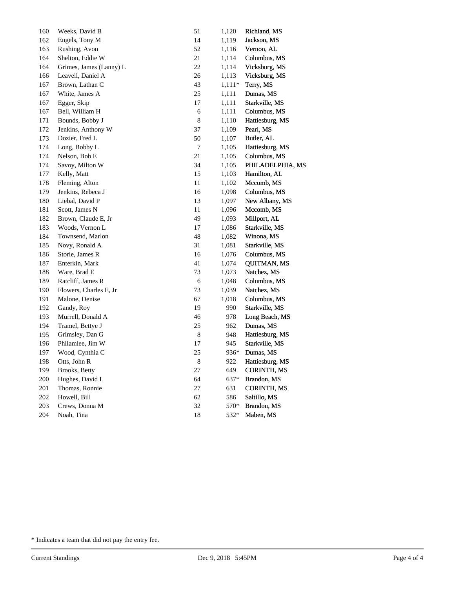| 160 | Weeks, David B          | 51          | 1,120    | Richland, MS       |
|-----|-------------------------|-------------|----------|--------------------|
| 162 | Engels, Tony M          | 14          | 1,119    | Jackson, MS        |
| 163 | Rushing, Avon           | 52          | 1,116    | Vernon, AL         |
| 164 | Shelton, Eddie W        | 21          | 1,114    | Columbus, MS       |
| 164 | Grimes, James (Lanny) L | 22          | 1,114    | Vicksburg, MS      |
| 166 | Leavell, Daniel A       | 26          | 1,113    | Vicksburg, MS      |
| 167 | Brown, Lathan C         | 43          | $1,111*$ | Terry, MS          |
| 167 | White, James A          | 25          | 1,111    | Dumas, MS          |
| 167 | Egger, Skip             | 17          | 1,111    | Starkville, MS     |
| 167 | Bell, William H         | 6           | 1,111    | Columbus, MS       |
| 171 | Bounds, Bobby J         | 8           | 1,110    | Hattiesburg, MS    |
| 172 | Jenkins, Anthony W      | 37          | 1,109    | Pearl, MS          |
| 173 | Dozier, Fred L          | 50          | 1,107    | Butler, AL         |
| 174 | Long, Bobby L           | $\tau$      | 1,105    | Hattiesburg, MS    |
| 174 | Nelson, Bob E           | 21          | 1,105    | Columbus, MS       |
| 174 | Savoy, Milton W         | 34          | 1,105    | PHILADELPHIA, MS   |
| 177 | Kelly, Matt             | 15          | 1,103    | Hamilton, AL       |
| 178 | Fleming, Alton          | 11          | 1,102    | Mccomb, MS         |
| 179 | Jenkins, Rebeca J       | 16          | 1,098    | Columbus, MS       |
| 180 | Liebal, David P         | 13          | 1,097    | New Albany, MS     |
| 181 | Scott, James N          | 11          | 1,096    | Mccomb, MS         |
| 182 | Brown, Claude E, Jr     | 49          | 1,093    | Millport, AL       |
| 183 | Woods, Vernon L         | 17          | 1,086    | Starkville, MS     |
| 184 | Townsend, Marlon        | 48          | 1,082    | Winona, MS         |
| 185 | Novy, Ronald A          | 31          | 1,081    | Starkville, MS     |
| 186 | Storie, James R         | 16          | 1,076    | Columbus, MS       |
| 187 | Enterkin, Mark          | 41          | 1,074    | <b>QUITMAN, MS</b> |
| 188 | Ware, Brad E            | 73          | 1,073    | Natchez, MS        |
| 189 | Ratcliff, James R       | 6           | 1,048    | Columbus, MS       |
| 190 | Flowers, Charles E, Jr  | 73          | 1,039    | Natchez, MS        |
| 191 | Malone, Denise          | 67          | 1,018    | Columbus, MS       |
| 192 | Gandy, Roy              | 19          | 990      | Starkville, MS     |
| 193 | Murrell, Donald A       | 46          | 978      | Long Beach, MS     |
| 194 | Tramel, Bettye J        | 25          | 962      | Dumas, MS          |
| 195 | Grimsley, Dan G         | $\,$ 8 $\,$ | 948      | Hattiesburg, MS    |
| 196 | Philamlee, Jim W        | 17          | 945      | Starkville, MS     |
| 197 | Wood, Cynthia C         | $25\,$      | 936*     | Dumas, MS          |
| 198 | Otts, John R            | 8           | 922      | Hattiesburg, MS    |
| 199 | Brooks, Betty           | $27\,$      | 649      | <b>CORINTH, MS</b> |
| 200 | Hughes, David L         | 64          | 637*     | Brandon, MS        |
| 201 | Thomas, Ronnie          | 27          | 631      | <b>CORINTH, MS</b> |
| 202 | Howell, Bill            | 62          | 586      | Saltillo, MS       |
| 203 | Crews, Donna M          | 32          | 570*     | Brandon, MS        |
| 204 | Noah, Tina              | 18          | 532*     | Maben, MS          |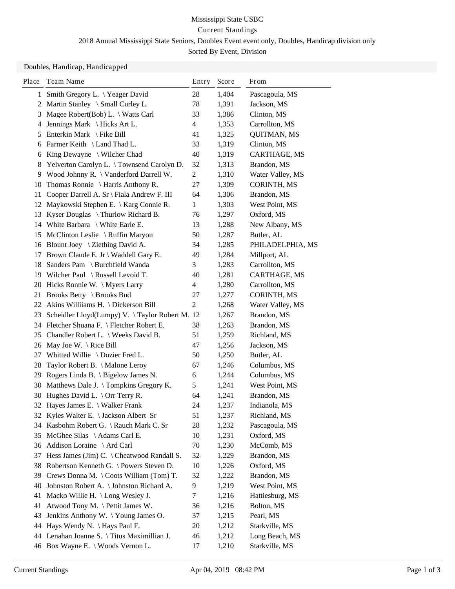## Mississippi State USBC Current Standings 2018 Annual Mississippi State Seniors, Doubles Event event only, Doubles, Handicap division only Sorted By Event, Division

Doubles, Handicap, Handicapped

| Place | Team Name                                      | Entry          | Score | From               |
|-------|------------------------------------------------|----------------|-------|--------------------|
| 1     | Smith Gregory L. \Yeager David                 | 28             | 1,404 | Pascagoula, MS     |
| 2     | Martin Stanley \ Small Curley L.               | 78             | 1,391 | Jackson, MS        |
| 3     | Magee Robert(Bob) L. $\setminus$ Watts Carl    | 33             | 1,386 | Clinton, MS        |
| 4     | Jennings Mark \ Hicks Art L.                   | 4              | 1,353 | Carrollton, MS     |
| 5     | Enterkin Mark \ Fike Bill                      | 41             | 1,325 | <b>QUITMAN, MS</b> |
| 6     | Farmer Keith \ Land Thad L.                    | 33             | 1,319 | Clinton, MS        |
| 6     | King Dewayne \ Wilcher Chad                    | 40             | 1,319 | CARTHAGE, MS       |
| 8     | Yelverton Carolyn L. \Townsend Carolyn D.      | 32             | 1,313 | Brandon, MS        |
| 9     | Wood Johnny R. \ Vanderford Darrell W.         | $\overline{2}$ | 1,310 | Water Valley, MS   |
| 10    | Thomas Ronnie $\{ \}$ Harris Anthony R.        | 27             | 1,309 | CORINTH, MS        |
| 11    | Cooper Darrell A. Sr \ Fiala Andrew F. III     | 64             | 1,306 | Brandon, MS        |
| 12    | Maykowski Stephen E. \ Karg Connie R.          | $\mathbf{1}$   | 1,303 | West Point, MS     |
| 13    | Kyser Douglas \Thurlow Richard B.              | 76             | 1,297 | Oxford, MS         |
|       | 14 White Barbara \ White Earle E.              | 13             | 1,288 | New Albany, MS     |
| 15    | McClinton Leslie \ Ruffin Maryon               | 50             | 1,287 | Butler, AL         |
|       | 16 Blount Joey \ Ziething David A.             | 34             | 1,285 | PHILADELPHIA, MS   |
| 17    | Brown Claude E. Jr \ Waddell Gary E.           | 49             | 1,284 | Millport, AL       |
| 18    | Sanders Pam \ Burchfield Wanda                 | 3              | 1,283 | Carrollton, MS     |
|       | 19 Wilcher Paul \ Russell Levoid T.            | 40             | 1,281 | CARTHAGE, MS       |
|       | 20 Hicks Ronnie W. \ Myers Larry               | 4              | 1,280 | Carrollton, MS     |
| 21    | Brooks Betty \ Brooks Bud                      | 27             | 1,277 | <b>CORINTH, MS</b> |
| 22    | Akins Williiams H. \ Dickerson Bill            | 2              | 1,268 | Water Valley, MS   |
| 23    | Scheidler Lloyd(Lumpy) V. \Taylor Robert M. 12 |                | 1,267 | Brandon, MS        |
|       | 24 Fletcher Shuana F. \ Fletcher Robert E.     | 38             | 1,263 | Brandon, MS        |
| 25    | Chandler Robert L. \ Weeks David B.            | 51             | 1,259 | Richland, MS       |
| 26    | May Joe W. $\setminus$ Rice Bill               | 47             | 1,256 | Jackson, MS        |
| 27    | Whitted Willie $\setminus$ Dozier Fred L.      | 50             | 1,250 | Butler, AL         |
| 28    | Taylor Robert B. \ Malone Leroy                | 67             | 1,246 | Columbus, MS       |
| 29    | Rogers Linda B. $\langle$ Bigelow James N.     | 6              | 1,244 | Columbus, MS       |
| 30    | Matthews Dale J. \Tompkins Gregory K.          | 5              | 1,241 | West Point, MS     |
|       | 30 Hughes David L. \ Orr Terry R.              | 64             | 1,241 | Brandon, MS        |
|       | 32 Hayes James E. \ Walker Frank               | 24             | 1,237 | Indianola, MS      |
|       | 32 Kyles Walter E. \ Jackson Albert Sr         | 51             | 1,237 | Richland, MS       |
|       | 34 Kasbohm Robert G. \Rauch Mark C. Sr         | 28             | 1,232 | Pascagoula, MS     |
| 35    | McGhee Silas \Adams Carl E.                    | 10             | 1,231 | Oxford, MS         |
| 36    | Addison Loraine \ Ard Carl                     | 70             | 1,230 | McComb, MS         |
| 37    | Hess James (Jim) C. \ Cheatwood Randall S.     | 32             | 1,229 | Brandon, MS        |
| 38    | Robertson Kenneth G. \ Powers Steven D.        | 10             | 1,226 | Oxford, MS         |
| 39    | Crews Donna M. \ Coots William (Tom) T.        | 32             | 1,222 | Brandon, MS        |
| 40    | Johnston Robert A. \ Johnston Richard A.       | 9              | 1,219 | West Point, MS     |
| 41    | Macko Willie H. \ Long Wesley J.               | 7              | 1,216 | Hattiesburg, MS    |
| 41    | Atwood Tony M. \ Pettit James W.               | 36             | 1,216 | Bolton, MS         |
| 43    | Jenkins Anthony W. \Young James O.             | 37             | 1,215 | Pearl, MS          |
|       | 44 Hays Wendy N. \ Hays Paul F.                | 20             | 1,212 | Starkville, MS     |
|       | 44 Lenahan Joanne S. \ Titus Maximillian J.    | 46             | 1,212 | Long Beach, MS     |
|       | 46 Box Wayne E. \ Woods Vernon L.              | 17             | 1,210 | Starkville, MS     |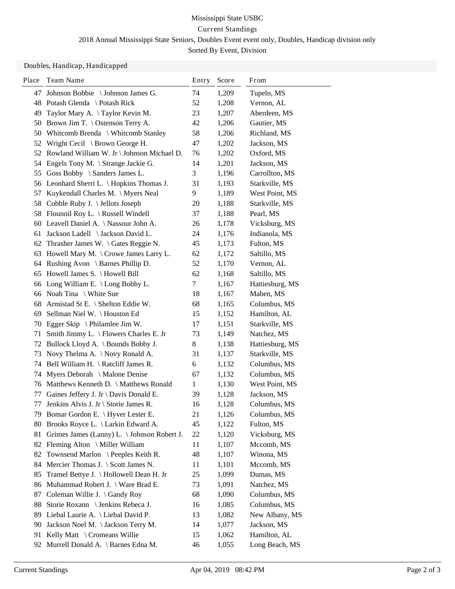# Mississippi State USBC Current Standings 2018 Annual Mississippi State Seniors, Doubles Event event only, Doubles, Handicap division only

Sorted By Event, Division

### Doubles, Handicap, Handicapped

| Place | Team Name                                         | Entry | Score | From            |
|-------|---------------------------------------------------|-------|-------|-----------------|
| 47    | Johnson Bobbie \ Johnson James G.                 | 74    | 1,209 | Tupelo, MS      |
|       | 48 Potash Glenda \ Potash Rick                    | 52    | 1,208 | Vernon, AL      |
| 49    | Taylor Mary A. \Taylor Kevin M.                   | 23    | 1,207 | Aberdeen, MS    |
| 50    | Brown Jim T. \ Ostenson Terry A.                  | 42    | 1,206 | Gautier, MS     |
| 50    | Whitcomb Brenda \ Whitcomb Stanley                | 58    | 1,206 | Richland, MS    |
| 52    | Wright Cecil \ Brown George H.                    | 47    | 1,202 | Jackson, MS     |
| 52    | Rowland William W. Jr \ Johnson Michael D.        | 76    | 1,202 | Oxford, MS      |
| 54    | Engels Tony M. \ Strange Jackie G.                | 14    | 1,201 | Jackson, MS     |
| 55    | Goss Bobby \ Sanders James L.                     | 3     | 1,196 | Carrollton, MS  |
|       | 56 Leonhard Sherri L. \ Hopkins Thomas J.         | 31    | 1,193 | Starkville, MS  |
| 57    | Kuykendall Charles M. \ Myers Neal                | 9     | 1,189 | West Point, MS  |
| 58    | Cobble Ruby J. \ Jellots Joseph                   | 20    | 1,188 | Starkville, MS  |
| 58    | Flounoil Roy L. $\langle$ Russell Windell         | 37    | 1,188 | Pearl, MS       |
|       | 60 Leavell Daniel A. \Nassour John A.             | 26    | 1,178 | Vicksburg, MS   |
| 61    | Jackson Ladell \ Jackson David L.                 | 24    | 1,176 | Indianola, MS   |
| 62    | Thrasher James W. \ Gates Reggie N.               | 45    | 1,173 | Fulton, MS      |
| 63    | Howell Mary M. \ Crowe James Larry L.             | 62    | 1,172 | Saltillo, MS    |
|       | 64 Rushing Avon \ Barnes Phillip D.               | 52    | 1,170 | Vernon, AL      |
| 65    | Howell James S. \ Howell Bill                     | 62    | 1,168 | Saltillo, MS    |
| 66    | Long William E. $\text{Long}$ Bobby L.            | 7     | 1,167 | Hattiesburg, MS |
| 66    | Noah Tina \ White Sue                             | 18    | 1,167 | Maben, MS       |
| 68    | Armistad St E. \ Shelton Eddie W.                 | 68    | 1,165 | Columbus, MS    |
| 69    | Sellman Niel W. \ Houston Ed                      | 15    | 1,152 | Hamilton, AL    |
| 70    | Egger Skip \ Philamlee Jim W.                     | 17    | 1,151 | Starkville, MS  |
| 71    | Smith Jimmy L. $\backslash$ Flowers Charles E. Jr | 73    | 1,149 | Natchez, MS     |
| 72    | Bullock Lloyd A. \ Bounds Bobby J.                | $8\,$ | 1,138 | Hattiesburg, MS |
| 73    | Novy Thelma A. \Novy Ronald A.                    | 31    | 1,137 | Starkville, MS  |
| 74    | Bell William H. $\lambda$ Ratcliff James R.       | 6     | 1,132 | Columbus, MS    |
| 74    | Myers Deborah \ Malone Denise                     | 67    | 1,132 | Columbus, MS    |
| 76    | Matthews Kenneth D. \ Matthews Ronald             | 1     | 1,130 | West Point, MS  |
| 77    | Gaines Jeffery J. Jr \ Davis Donald E.            | 39    | 1,128 | Jackson, MS     |
| 77    | Jenkins Alvis J. Jr \ Storie James R.             | 16    | 1,128 | Columbus, MS    |
|       | 79 Bomar Gordon E. \ Hyver Lester E.              | 21    | 1,126 | Columbus, MS    |
| 80    | Brooks Royce L. \ Larkin Edward A.                | 45    | 1,122 | Fulton, MS      |
| 81    | Grimes James (Lanny) L. \ Johnson Robert J.       | 22    | 1,120 | Vicksburg, MS   |
| 82    | Fleming Alton \ Miller William                    | 11    | 1,107 | Mccomb, MS      |
| 82    | Townsend Marlon \ Peeples Keith R.                | 48    | 1,107 | Winona, MS      |
| 84    | Mercier Thomas J. \ Scott James N.                | 11    | 1,101 | Mccomb, MS      |
| 85    | Tramel Bettye J. \ Hollowell Dean H. Jr           | 25    | 1,099 | Dumas, MS       |
| 86    | Muhammad Robert J. \ Ware Brad E.                 | 73    | 1,091 | Natchez, MS     |
| 87    | Coleman Willie J. \ Gandy Roy                     | 68    | 1,090 | Columbus, MS    |
| 88    | Storie Roxann \ Jenkins Rebeca J.                 | 16    | 1,085 | Columbus, MS    |
| 89    | Liebal Laurie A. \ Liebal David P.                | 13    | 1,082 | New Albany, MS  |
| 90    | Jackson Noel M. \Jackson Terry M.                 | 14    | 1,077 | Jackson, MS     |
| 91    | Kelly Matt \ Cromeans Willie                      | 15    | 1,062 | Hamilton, AL    |
|       | 92 Murrell Donald A. \ Barnes Edna M.             | 46    | 1,055 | Long Beach, MS  |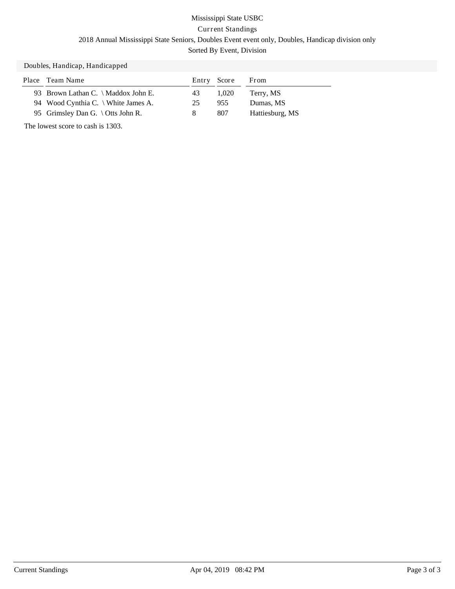# Mississippi State USBC Current Standings 2018 Annual Mississippi State Seniors, Doubles Event event only, Doubles, Handicap division only Sorted By Event, Division

### Doubles, Handicap, Handicapped

| Place | Team Name                           | Entry Score |       | From            |
|-------|-------------------------------------|-------------|-------|-----------------|
|       | 93 Brown Lathan C. \ Maddox John E. | 43          | 1.020 | Terry, MS       |
|       | 94 Wood Cynthia C. \ White James A. | 25          | 955   | Dumas, MS       |
|       | 95 Grimsley Dan G. \ Otts John R.   | 8           | 807   | Hattiesburg, MS |

The lowest score to cash is 1303.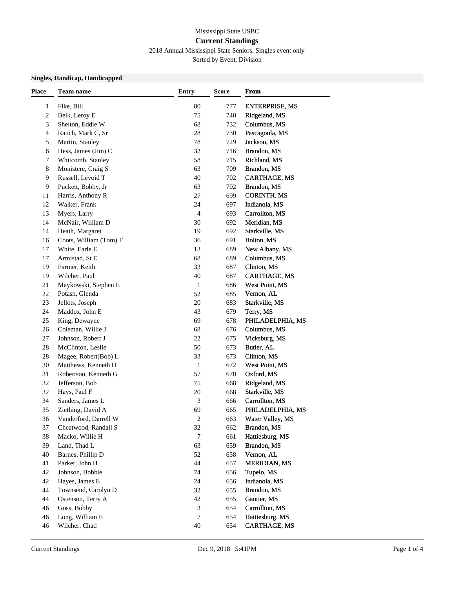## Mississippi State USBC **Current Standings**

2018 Annual Mississippi State Seniors, Singles event only

Sorted by Event, Division

#### **Singles, Handicap, Handicapped**

| <b>Place</b> | Team name              | <b>Entry</b>                | <b>Score</b> | From                  |
|--------------|------------------------|-----------------------------|--------------|-----------------------|
| $\mathbf{1}$ | Fike, Bill             | 80                          | 777          | <b>ENTERPRISE, MS</b> |
| 2            | Belk, Leroy E          | 75                          | 740          | Ridgeland, MS         |
| 3            | Shelton, Eddie W       | 68                          | 732          | Columbus, MS          |
| 4            | Rauch, Mark C, Sr      | 28                          | 730          | Pascagoula, MS        |
| 5            | Martin, Stanley        | 78                          | 729          | Jackson, MS           |
| 6            | Hess, James (Jim) C    | 32                          | 716          | Brandon, MS           |
| 7            | Whitcomb, Stanley      | 58                          | 715          | Richland, MS          |
| 8            | Monistere, Craig S     | 63                          | 709          | Brandon, MS           |
| 9            | Russell, Levoid T      | 40                          | 702          | <b>CARTHAGE, MS</b>   |
| 9            | Puckett, Bobby, Jr     | 63                          | 702          | Brandon, MS           |
| 11           | Harris, Anthony R      | 27                          | 699          | <b>CORINTH, MS</b>    |
| 12           | Walker, Frank          | 24                          | 697          | Indianola, MS         |
| 13           | Myers, Larry           | 4                           | 693          | Carrollton, MS        |
| 14           | McNair, William D      | 30                          | 692          | Meridian, MS          |
| 14           | Heath, Margaret        | 19                          | 692          | Starkville, MS        |
| 16           | Coots, William (Tom) T | 36                          | 691          | Bolton, MS            |
| 17           | White, Earle E         | 13                          | 689          | New Albany, MS        |
| 17           | Armistad, St E         | 68                          | 689          | Columbus, MS          |
| 19           | Farmer, Keith          | 33                          | 687          | Clinton, MS           |
| 19           | Wilcher, Paul          | 40                          | 687          | <b>CARTHAGE, MS</b>   |
| 21           | Maykowski, Stephen E   | 1                           | 686          | West Point, MS        |
| 22           | Potash, Glenda         | 52                          | 685          | Vernon, AL            |
| 23           | Jellots, Joseph        | 20                          | 683          | Starkville, MS        |
| 24           | Maddox, John E         | 43                          | 679          | Terry, MS             |
| 25           | King, Dewayne          | 69                          | 678          | PHILADELPHIA, MS      |
| 26           | Coleman, Willie J      | 68                          | 676          | Columbus, MS          |
| 27           | Johnson, Robert J      | 22                          | 675          | Vicksburg, MS         |
| $28\,$       | McClinton, Leslie      | 50                          | 673          | Butler, AL            |
| $28\,$       | Magee, Robert(Bob) L   | 33                          | 673          | Clinton, MS           |
| 30           | Matthews, Kenneth D    | 1                           | 672          | West Point, MS        |
| 31           | Robertson, Kenneth G   | 57                          | 670          | Oxford, MS            |
| 32           | Jefferson, Bob         | 75                          | 668          | Ridgeland, MS         |
| 32           | Hays, Paul F           | 20                          | 668          | Starkville, MS        |
| 34           | Sanders, James L       | $\ensuremath{\mathfrak{Z}}$ | 666          | Carrollton, MS        |
| 35           | Ziething, David A      | 69                          | 665          | PHILADELPHIA, MS      |
| 36           | Vanderford, Darrell W  | 2                           | 663          | Water Valley, MS      |
| 37           | Cheatwood, Randall S   | 32                          | 662          | Brandon, MS           |
| 38           | Macko, Willie H        | 7                           | 661          | Hattiesburg, MS       |
| 39           | Land, Thad L           | 63                          | 659          | Brandon, MS           |
| 40           | Barnes, Phillip D      | 52                          | 658          | Vernon, AL            |
| 41           | Parker, John H         | 44                          | 657          | <b>MERIDIAN, MS</b>   |
| 42           | Johnson, Bobbie        | 74                          | 656          | Tupelo, MS            |
| 42           | Hayes, James E         | 24                          | 656          | Indianola, MS         |
| 44           | Townsend, Carolyn D    | 32                          | 655          | Brandon, MS           |
| 44           | Ostenson, Terry A      | 42                          | 655          | Gautier, MS           |
| 46           | Goss, Bobby            | 3                           | 654          | Carrollton, MS        |
| 46           | Long, William E        | 7                           | 654          | Hattiesburg, MS       |
| 46           | Wilcher, Chad          | 40                          | 654          | <b>CARTHAGE, MS</b>   |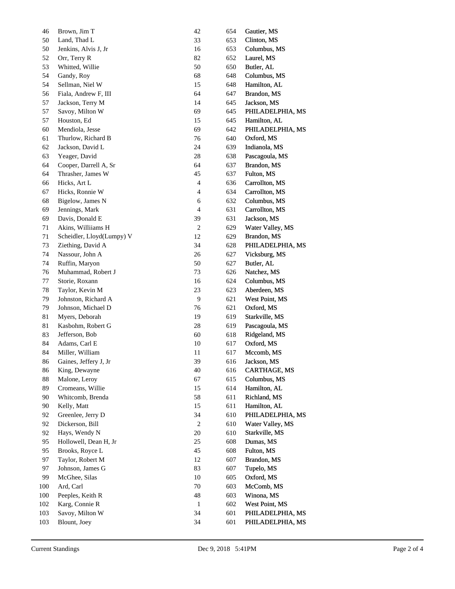| 46  | Brown, Jim T              | $42\,$         | 654 | Gautier, MS         |
|-----|---------------------------|----------------|-----|---------------------|
| 50  | Land, Thad L              | 33             | 653 | Clinton, MS         |
| 50  | Jenkins, Alvis J, Jr      | 16             | 653 | Columbus, MS        |
| 52  | Orr, Terry R              | 82             | 652 | Laurel, MS          |
| 53  | Whitted, Willie           | 50             | 650 | Butler, AL          |
| 54  | Gandy, Roy                | 68             | 648 | Columbus, MS        |
| 54  | Sellman, Niel W           | 15             | 648 | Hamilton, AL        |
| 56  | Fiala, Andrew F, III      | 64             | 647 | Brandon, MS         |
| 57  | Jackson, Terry M          | 14             | 645 | Jackson, MS         |
| 57  | Savoy, Milton W           | 69             | 645 | PHILADELPHIA, MS    |
| 57  | Houston, Ed               | 15             | 645 | Hamilton, AL        |
| 60  | Mendiola, Jesse           | 69             | 642 | PHILADELPHIA, MS    |
| 61  | Thurlow, Richard B        | 76             | 640 | Oxford, MS          |
| 62  | Jackson, David L          | 24             | 639 | Indianola, MS       |
| 63  | Yeager, David             | $28\,$         | 638 | Pascagoula, MS      |
| 64  | Cooper, Darrell A, Sr     | 64             | 637 | Brandon, MS         |
| 64  | Thrasher, James W         | 45             | 637 | Fulton, MS          |
| 66  | Hicks, Art L              | $\overline{4}$ | 636 | Carrollton, MS      |
| 67  | Hicks, Ronnie W           | 4              | 634 | Carrollton, MS      |
| 68  | Bigelow, James N          | $\sqrt{6}$     | 632 | Columbus, MS        |
| 69  | Jennings, Mark            | $\overline{4}$ | 631 | Carrollton, MS      |
| 69  | Davis, Donald E           | 39             | 631 | Jackson, MS         |
| 71  | Akins, Williiams H        | $\sqrt{2}$     | 629 | Water Valley, MS    |
| 71  | Scheidler, Lloyd(Lumpy) V | 12             | 629 | Brandon, MS         |
| 73  | Ziething, David A         | 34             | 628 | PHILADELPHIA, MS    |
| 74  | Nassour, John A           | $26\,$         | 627 | Vicksburg, MS       |
| 74  | Ruffin, Maryon            | 50             | 627 | Butler, AL          |
| 76  | Muhammad, Robert J        | 73             | 626 | Natchez, MS         |
| 77  | Storie, Roxann            | 16             | 624 | Columbus, MS        |
| 78  | Taylor, Kevin M           | $23\,$         | 623 | Aberdeen, MS        |
| 79  | Johnston, Richard A       | $\overline{9}$ | 621 | West Point, MS      |
| 79  | Johnson, Michael D        | 76             | 621 | Oxford, MS          |
| 81  | Myers, Deborah            | 19             | 619 | Starkville, MS      |
| 81  | Kasbohm, Robert G         | $28\,$         | 619 | Pascagoula, MS      |
| 83  | Jefferson, Bob            | 60             | 618 | Ridgeland, MS       |
| 84  | Adams, Carl E             | 10             | 617 | Oxford, MS          |
| 84  | Miller, William           | 11             | 617 | Mccomb, MS          |
| 86  | Gaines, Jeffery J, Jr     | 39             | 616 | Jackson, MS         |
| 86  | King, Dewayne             | 40             | 616 | <b>CARTHAGE, MS</b> |
| 88  | Malone, Leroy             | 67             | 615 | Columbus, MS        |
| 89  | Cromeans, Willie          | 15             | 614 | Hamilton, AL        |
| 90  | Whitcomb, Brenda          | 58             | 611 | Richland, MS        |
| 90  | Kelly, Matt               | 15             | 611 | Hamilton, AL        |
| 92  | Greenlee, Jerry D         | 34             | 610 | PHILADELPHIA, MS    |
| 92  | Dickerson, Bill           | $\sqrt{2}$     | 610 | Water Valley, MS    |
| 92  | Hays, Wendy N             | $20\,$         | 610 | Starkville, MS      |
| 95  | Hollowell, Dean H, Jr     | 25             | 608 | Dumas, MS           |
| 95  | Brooks, Royce L           | 45             | 608 | Fulton, MS          |
| 97  | Taylor, Robert M          | 12             | 607 | Brandon, MS         |
| 97  | Johnson, James G          | 83             | 607 | Tupelo, MS          |
| 99  | McGhee, Silas             | 10             | 605 | Oxford, MS          |
| 100 | Ard, Carl                 | 70             | 603 | McComb, MS          |
| 100 | Peeples, Keith R          | 48             | 603 | Winona, MS          |
|     |                           |                |     |                     |
| 102 | Karg, Connie R            | $\mathbf{1}$   | 602 | West Point, MS      |
| 103 | Savoy, Milton W           | 34             | 601 | PHILADELPHIA, MS    |
| 103 | Blount, Joey              | 34             | 601 | PHILADELPHIA, MS    |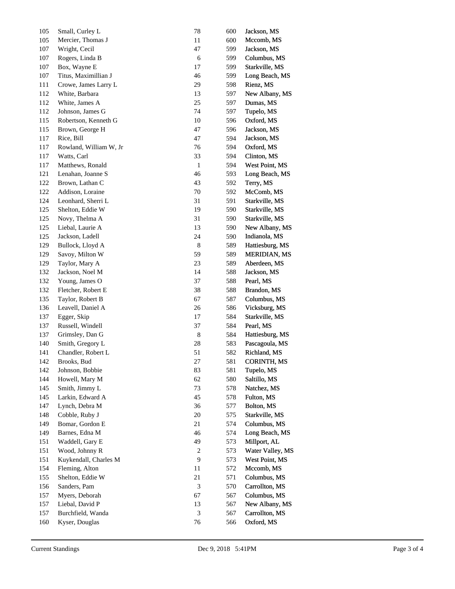| 105 | Small, Curley L        | 78               | 600 | Jackson, MS         |
|-----|------------------------|------------------|-----|---------------------|
| 105 | Mercier, Thomas J      | 11               | 600 | Mccomb, MS          |
| 107 | Wright, Cecil          | 47               | 599 | Jackson, MS         |
| 107 | Rogers, Linda B        | 6                | 599 | Columbus, MS        |
| 107 | Box, Wayne E           | 17               | 599 | Starkville, MS      |
| 107 | Titus, Maximillian J   | 46               | 599 | Long Beach, MS      |
| 111 | Crowe, James Larry L   | 29               | 598 | Rienz, MS           |
| 112 | White, Barbara         | 13               | 597 | New Albany, MS      |
| 112 | White, James A         | 25               | 597 | Dumas, MS           |
| 112 | Johnson, James G       | 74               | 597 | Tupelo, MS          |
| 115 | Robertson, Kenneth G   | 10               | 596 | Oxford, MS          |
| 115 | Brown, George H        | 47               | 596 | Jackson, MS         |
| 117 | Rice, Bill             | 47               | 594 | Jackson, MS         |
| 117 | Rowland, William W, Jr | 76               | 594 | Oxford, MS          |
| 117 | Watts, Carl            | 33               | 594 | Clinton, MS         |
| 117 | Matthews, Ronald       | 1                | 594 | West Point, MS      |
| 121 | Lenahan, Joanne S      | 46               | 593 | Long Beach, MS      |
| 122 | Brown, Lathan C        | 43               | 592 | Terry, MS           |
| 122 | Addison, Loraine       | 70               | 592 | McComb, MS          |
| 124 | Leonhard, Sherri L     | 31               | 591 | Starkville, MS      |
| 125 | Shelton, Eddie W       | 19               | 590 | Starkville, MS      |
| 125 | Novy, Thelma A         | 31               | 590 | Starkville, MS      |
| 125 | Liebal, Laurie A       | 13               | 590 | New Albany, MS      |
| 125 | Jackson, Ladell        | 24               | 590 | Indianola, MS       |
| 129 | Bullock, Lloyd A       | 8                | 589 | Hattiesburg, MS     |
| 129 | Savoy, Milton W        | 59               | 589 | <b>MERIDIAN, MS</b> |
| 129 | Taylor, Mary A         | 23               | 589 | Aberdeen, MS        |
| 132 | Jackson, Noel M        | 14               | 588 | Jackson, MS         |
| 132 | Young, James O         | 37               | 588 | Pearl, MS           |
| 132 | Fletcher, Robert E     | 38               | 588 | Brandon, MS         |
| 135 | Taylor, Robert B       | 67               | 587 | Columbus, MS        |
| 136 | Leavell, Daniel A      | 26               | 586 | Vicksburg, MS       |
| 137 | Egger, Skip            | 17               | 584 | Starkville, MS      |
| 137 | Russell, Windell       | 37               | 584 | Pearl, MS           |
| 137 | Grimsley, Dan G        | $\,8$            | 584 | Hattiesburg, MS     |
| 140 | Smith, Gregory L       | 28               | 583 | Pascagoula, MS      |
| 141 | Chandler, Robert L     | 51               | 582 | Richland, MS        |
| 142 | Brooks, Bud            | 27               | 581 | CORINTH, MS         |
| 142 | Johnson, Bobbie        | 83               | 581 | Tupelo, MS          |
| 144 | Howell, Mary M         | 62               | 580 | Saltillo, MS        |
| 145 | Smith, Jimmy L         | 73               | 578 | Natchez, MS         |
| 145 | Larkin, Edward A       | 45               | 578 | Fulton, MS          |
| 147 | Lynch, Debra M         | 36               | 577 | Bolton, MS          |
| 148 | Cobble, Ruby J         | 20               | 575 | Starkville, MS      |
| 149 | Bomar, Gordon E        | 21               | 574 | Columbus, MS        |
| 149 | Barnes, Edna M         | 46               | 574 | Long Beach, MS      |
| 151 | Waddell, Gary E        | 49               | 573 | Millport, AL        |
| 151 | Wood, Johnny R         | $\boldsymbol{2}$ | 573 | Water Valley, MS    |
| 151 | Kuykendall, Charles M  | $\overline{9}$   | 573 | West Point, MS      |
| 154 | Fleming, Alton         | 11               | 572 | Mccomb, MS          |
| 155 | Shelton, Eddie W       | 21               | 571 | Columbus, MS        |
| 156 | Sanders, Pam           | 3                | 570 | Carrollton, MS      |
| 157 | Myers, Deborah         | 67               | 567 | Columbus, MS        |
| 157 | Liebal, David P        | 13               | 567 | New Albany, MS      |
| 157 | Burchfield, Wanda      | 3                | 567 | Carrollton, MS      |
| 160 | Kyser, Douglas         | 76               | 566 | Oxford, MS          |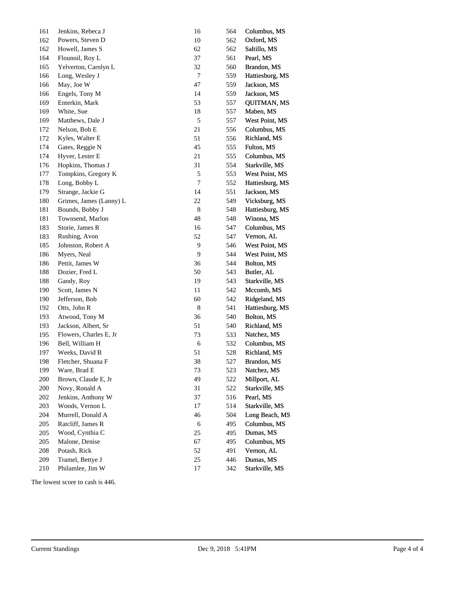| 161 | Jenkins, Rebeca J            | 16               | 564        | Columbus, MS       |
|-----|------------------------------|------------------|------------|--------------------|
| 162 | Powers, Steven D             | 10               | 562        | Oxford, MS         |
| 162 | Howell, James S              | 62               | 562        | Saltillo, MS       |
| 164 | Flounoil, Roy L              | 37               | 561        | Pearl, MS          |
| 165 | Yelverton, Carolyn L         | 32               | 560        | Brandon, MS        |
| 166 | Long, Wesley J               | $\boldsymbol{7}$ | 559        | Hattiesburg, MS    |
| 166 | May, Joe W                   | 47               | 559        | Jackson, MS        |
| 166 | Engels, Tony M               | 14               | 559        | Jackson, MS        |
| 169 | Enterkin, Mark               | 53               | 557        | <b>QUITMAN, MS</b> |
| 169 | White, Sue                   | $18\,$           | 557        | Maben, MS          |
| 169 | Matthews, Dale J             | $\sqrt{5}$       | 557        | West Point, MS     |
| 172 | Nelson, Bob E                | $21\,$           | 556        | Columbus, MS       |
| 172 | Kyles, Walter E              | 51               | 556        | Richland, MS       |
| 174 | Gates, Reggie N              | 45               | 555        | Fulton, MS         |
| 174 | Hyver, Lester E              | 21               | 555        | Columbus, MS       |
| 176 | Hopkins, Thomas J            | 31               | 554        | Starkville, MS     |
| 177 | Tompkins, Gregory K          | $\sqrt{5}$       | 553        | West Point, MS     |
| 178 | Long, Bobby L                | $\boldsymbol{7}$ | 552        | Hattiesburg, MS    |
| 179 | Strange, Jackie G            | 14               | 551        | Jackson, MS        |
| 180 | Grimes, James (Lanny) L      | $22\,$           | 549        | Vicksburg, MS      |
| 181 | Bounds, Bobby J              | $\,$ 8 $\,$      | 548        | Hattiesburg, MS    |
| 181 | Townsend, Marlon             | 48               | 548        | Winona, MS         |
| 183 | Storie, James R              | 16               | 547        | Columbus, MS       |
| 183 | Rushing, Avon                | 52               | 547        | Vernon, AL         |
| 185 | Johnston, Robert A           | $\overline{9}$   | 546        | West Point, MS     |
| 186 | Myers, Neal                  | $\overline{9}$   | 544        | West Point, MS     |
| 186 | Pettit, James W              | 36               | 544        | Bolton, MS         |
| 188 |                              | 50               |            |                    |
| 188 | Dozier, Fred L               | 19               | 543        | Butler, AL         |
| 190 | Gandy, Roy<br>Scott, James N | $11\,$           | 543<br>542 | Starkville, MS     |
|     |                              |                  |            | Mccomb, MS         |
| 190 | Jefferson, Bob               | 60               | 542        | Ridgeland, MS      |
| 192 | Otts, John R                 | $\,8\,$          | 541        | Hattiesburg, MS    |
| 193 | Atwood, Tony M               | 36               | 540        | Bolton, MS         |
| 193 | Jackson, Albert, Sr          | 51               | 540        | Richland, MS       |
| 195 | Flowers, Charles E, Jr       | 73               | 533        | Natchez, MS        |
| 196 | Bell, William H              | $\sqrt{6}$       | 532        | Columbus, MS       |
| 197 | Weeks, David B               | 51               | 528        | Richland, MS       |
| 198 | Fletcher, Shuana F           | 38               | 527        | Brandon, MS        |
| 199 | Ware, Brad E                 | 73               | 523        | Natchez, MS        |
| 200 | Brown, Claude E, Jr          | 49               | 522        | Millport, AL       |
| 200 | Novy, Ronald A               | 31               | 522        | Starkville, MS     |
| 202 | Jenkins, Anthony W           | 37               | 516        | Pearl, MS          |
| 203 | Woods, Vernon L              | 17               | 514        | Starkville, MS     |
| 204 | Murrell, Donald A            | 46               | 504        | Long Beach, MS     |
| 205 | Ratcliff, James R            | $\sqrt{6}$       | 495        | Columbus, MS       |
| 205 | Wood, Cynthia C              | 25               | 495        | Dumas, MS          |
| 205 | Malone, Denise               | 67               | 495        | Columbus, MS       |
| 208 | Potash, Rick                 | 52               | 491        | Vernon, AL         |
| 209 | Tramel, Bettye J             | 25               | 446        | Dumas, MS          |
| 210 | Philamlee, Jim W             | 17               | 342        | Starkville, MS     |
|     |                              |                  |            |                    |

The lowest score to cash is 446.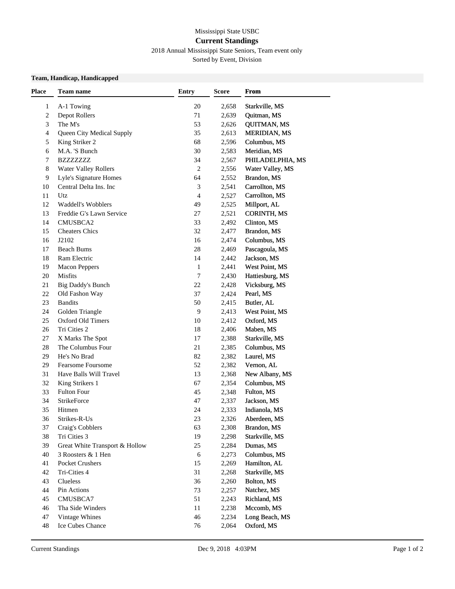## Mississippi State USBC **Current Standings**

## 2018 Annual Mississippi State Seniors, Team event only

Sorted by Event, Division

### **Team, Handicap, Handicapped**

| <b>Place</b> | Team name                      | <b>Entry</b> | <b>Score</b> | From                |
|--------------|--------------------------------|--------------|--------------|---------------------|
| 1            | A-1 Towing                     | 20           | 2,658        | Starkville, MS      |
| $\sqrt{2}$   | Depot Rollers                  | 71           | 2,639        | Quitman, MS         |
| 3            | The M's                        | 53           | 2,626        | <b>QUITMAN, MS</b>  |
| 4            | Queen City Medical Supply      | 35           | 2,613        | <b>MERIDIAN, MS</b> |
| 5            | King Striker 2                 | 68           | 2,596        | Columbus, MS        |
| 6            | M.A. 'S Bunch                  | 30           | 2,583        | Meridian, MS        |
| 7            | <b>BZZZZZZZZ</b>               | 34           | 2,567        | PHILADELPHIA, MS    |
| 8            | <b>Water Valley Rollers</b>    | 2            | 2,556        | Water Valley, MS    |
| 9            | Lyle's Signature Homes         | 64           | 2,552        | Brandon, MS         |
| $10\,$       | Central Delta Ins. Inc         | 3            | 2,541        | Carrollton, MS      |
| 11           | Utz                            | 4            | 2,527        | Carrollton, MS      |
| 12           | Waddell's Wobblers             | 49           | 2,525        | Millport, AL        |
| 13           | Freddie G's Lawn Service       | 27           | 2,521        | <b>CORINTH, MS</b>  |
| 14           | CMUSBCA2                       | 33           | 2,492        | Clinton, MS         |
| 15           | <b>Cheaters Chics</b>          | 32           | 2,477        | Brandon, MS         |
| 16           | J2102                          | 16           | 2,474        | Columbus, MS        |
| 17           | <b>Beach Bums</b>              | 28           | 2,469        | Pascagoula, MS      |
| 18           | Ram Electric                   | 14           | 2,442        | Jackson, MS         |
| 19           | <b>Macon Peppers</b>           | 1            | 2,441        | West Point, MS      |
| 20           | Misfits                        | 7            | 2,430        | Hattiesburg, MS     |
| 21           | Big Daddy's Bunch              | 22           | 2,428        | Vicksburg, MS       |
| $22\,$       | Old Fashon Way                 | 37           | 2,424        | Pearl, MS           |
| 23           | <b>Bandits</b>                 | 50           | 2,415        | Butler, AL          |
| 24           | Golden Triangle                | 9            | 2,413        | West Point, MS      |
| 25           | Oxford Old Timers              | 10           | 2,412        | Oxford, MS          |
| 26           | Tri Cities 2                   | 18           | 2,406        | Maben, MS           |
| 27           | X Marks The Spot               | 17           | 2,388        | Starkville, MS      |
| 28           | The Columbus Four              | 21           | 2,385        | Columbus, MS        |
| 29           | He's No Brad                   | 82           | 2,382        | Laurel, MS          |
| 29           | <b>Fearsome Foursome</b>       | 52           | 2,382        | Vernon, AL          |
| 31           | Have Balls Will Travel         | 13           | 2,368        | New Albany, MS      |
| 32           | King Strikers 1                | 67           | 2,354        | Columbus, MS        |
| 33           | <b>Fulton Four</b>             | 45           | 2,348        | Fulton, MS          |
| 34           | StrikeForce                    | 47           | 2,337        | Jackson, MS         |
| 35           | Hitmen                         | 24           | 2,333        | Indianola, MS       |
| 36           | Strikes-R-Us                   | 23           | 2,326        | Aberdeen, MS        |
| 37           | Craig's Cobblers               | 63           | 2,308        | Brandon, MS         |
| 38           | Tri Cities 3                   | 19           | 2,298        | Starkville, MS      |
| 39           | Great White Transport & Hollow | 25           | 2,284        | Dumas, MS           |
| 40           | 3 Roosters & 1 Hen             | 6            | 2,273        | Columbus, MS        |
| 41           | Pocket Crushers                | 15           | 2,269        | Hamilton, AL        |
| 42           | Tri-Cities 4                   | 31           | 2,268        | Starkville, MS      |
| 43           | Clueless                       | 36           | 2,260        | Bolton, MS          |
| 44           | Pin Actions                    | 73           | 2,257        | Natchez, MS         |
| 45           | CMUSBCA7                       | 51           | 2,243        | Richland, MS        |
| 46           | Tha Side Winders               | 11           | 2,238        | Mccomb, MS          |
| 47           | Vintage Whines                 | 46           | 2,234        | Long Beach, MS      |
| 48           | Ice Cubes Chance               | 76           | 2,064        | Oxford, MS          |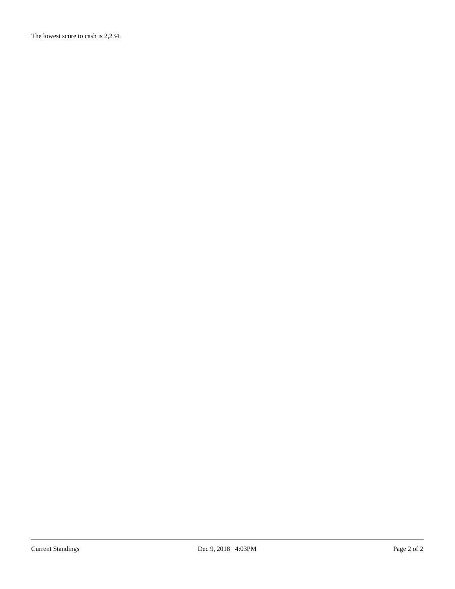The lowest score to cash is 2,234.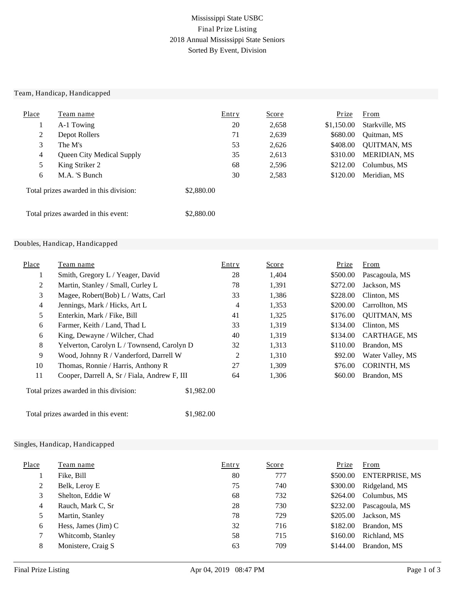## Mississippi State USBC Final Prize Listing 2018 Annual Mississippi State Seniors Sorted By Event, Division

#### Team, Handicap, Handicapped

| Place                                  | Team name                 | <b>Entry</b> | <u>Score</u> | Prize      | From                |
|----------------------------------------|---------------------------|--------------|--------------|------------|---------------------|
|                                        | A-1 Towing                | 20           | 2,658        | \$1,150.00 | Starkville, MS      |
| 2                                      | Depot Rollers             | 71           | 2,639        | \$680.00   | Quitman, MS         |
| 3                                      | The M's                   | 53           | 2,626        | \$408.00   | <b>QUITMAN, MS</b>  |
| 4                                      | Queen City Medical Supply | 35           | 2,613        | \$310.00   | <b>MERIDIAN, MS</b> |
| 5                                      | King Striker 2            | 68           | 2,596        | \$212.00   | Columbus, MS        |
| 6                                      | M.A. 'S Bunch             | 30           | 2,583        | \$120.00   | Meridian, MS        |
| Total prizes awarded in this division: |                           | \$2,880.00   |              |            |                     |
| Total prizes awarded in this event:    |                           | \$2,880.00   |              |            |                     |

#### Doubles, Handicap, Handicapped

| Place          | Team name                                            | Entry | <u>Score</u> | Prize    | From               |
|----------------|------------------------------------------------------|-------|--------------|----------|--------------------|
| $\perp$        | Smith, Gregory L / Yeager, David                     | 28    | 1,404        | \$500.00 | Pascagoula, MS     |
| 2              | Martin, Stanley / Small, Curley L                    | 78    | 1,391        | \$272.00 | Jackson, MS        |
| 3              | Magee, Robert(Bob) L / Watts, Carl                   | 33    | 1,386        | \$228.00 | Clinton, MS        |
| $\overline{4}$ | Jennings, Mark / Hicks, Art L                        | 4     | 1,353        | \$200.00 | Carrollton, MS     |
| 5              | Enterkin, Mark / Fike, Bill                          | 41    | 1,325        | \$176.00 | <b>QUITMAN, MS</b> |
| 6              | Farmer, Keith / Land, Thad L                         | 33    | 1,319        | \$134.00 | Clinton, MS        |
| 6              | King, Dewayne / Wilcher, Chad                        | 40    | 1,319        | \$134.00 | CARTHAGE, MS       |
| 8              | Yelverton, Carolyn L / Townsend, Carolyn D           | 32    | 1,313        | \$110.00 | Brandon, MS        |
| 9              | Wood, Johnny R / Vanderford, Darrell W               | 2     | 1,310        | \$92.00  | Water Valley, MS   |
| 10             | Thomas, Ronnie / Harris, Anthony R                   | 27    | 1,309        | \$76.00  | <b>CORINTH, MS</b> |
| 11             | Cooper, Darrell A, Sr / Fiala, Andrew F, III         | 64    | 1,306        | \$60.00  | Brandon, MS        |
|                | Total prizes awarded in this division:<br>\$1,982.00 |       |              |          |                    |

Total prizes awarded in this event: \$1,982.00

### Singles, Handicap, Handicapped

| Place | Team name                           | Entry | <u>Score</u> | Prize    | <b>From</b>           |
|-------|-------------------------------------|-------|--------------|----------|-----------------------|
|       | Fike, Bill                          | 80    | 777          | \$500.00 | <b>ENTERPRISE, MS</b> |
| 2     | Belk, Leroy E                       | 75    | 740          | \$300.00 | Ridgeland, MS         |
| 3     | Shelton, Eddie W                    | 68    | 732          | \$264.00 | Columbus, MS          |
| 4     | Rauch, Mark C, Sr                   | 28    | 730          | \$232.00 | Pascagoula, MS        |
| 5     | Martin, Stanley                     | 78    | 729          | \$205.00 | Jackson, MS           |
| 6     | Hess, James $(\text{Jim}) \text{C}$ | 32    | 716          | \$182.00 | Brandon, MS           |
|       | Whitcomb, Stanley                   | 58    | 715          | \$160.00 | Richland, MS          |
| 8     | Monistere, Craig S                  | 63    | 709          | \$144.00 | Brandon, MS           |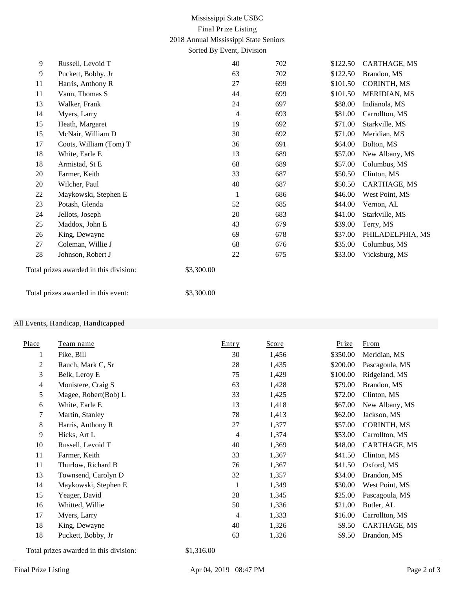## Mississippi State USBC Final Prize Listing 2018 Annual Mississippi State Seniors Sorted By Event, Division

| 9  | Russell, Levoid T                      |            | 40             | 702 | \$122.50 | CARTHAGE, MS       |
|----|----------------------------------------|------------|----------------|-----|----------|--------------------|
| 9  | Puckett, Bobby, Jr                     |            | 63             | 702 | \$122.50 | Brandon, MS        |
| 11 | Harris, Anthony R                      |            | 27             | 699 | \$101.50 | <b>CORINTH, MS</b> |
| 11 | Vann, Thomas S                         |            | 44             | 699 | \$101.50 | MERIDIAN, MS       |
| 13 | Walker, Frank                          |            | 24             | 697 | \$88.00  | Indianola, MS      |
| 14 | Myers, Larry                           |            | $\overline{4}$ | 693 | \$81.00  | Carrollton, MS     |
| 15 | Heath, Margaret                        |            | 19             | 692 | \$71.00  | Starkville, MS     |
| 15 | McNair, William D                      |            | 30             | 692 | \$71.00  | Meridian, MS       |
| 17 | Coots, William (Tom) T                 |            | 36             | 691 | \$64.00  | Bolton, MS         |
| 18 | White, Earle E                         |            | 13             | 689 | \$57.00  | New Albany, MS     |
| 18 | Armistad, St E                         |            | 68             | 689 | \$57.00  | Columbus, MS       |
| 20 | Farmer, Keith                          |            | 33             | 687 | \$50.50  | Clinton, MS        |
| 20 | Wilcher, Paul                          |            | 40             | 687 | \$50.50  | CARTHAGE, MS       |
| 22 | Maykowski, Stephen E                   |            | 1              | 686 | \$46.00  | West Point, MS     |
| 23 | Potash, Glenda                         |            | 52             | 685 | \$44.00  | Vernon, AL         |
| 24 | Jellots, Joseph                        |            | 20             | 683 | \$41.00  | Starkville, MS     |
| 25 | Maddox, John E                         |            | 43             | 679 | \$39.00  | Terry, MS          |
| 26 | King, Dewayne                          |            | 69             | 678 | \$37.00  | PHILADELPHIA, MS   |
| 27 | Coleman, Willie J                      |            | 68             | 676 | \$35.00  | Columbus, MS       |
| 28 | Johnson, Robert J                      |            | 22             | 675 | \$33.00  | Vicksburg, MS      |
|    | Total prizes awarded in this division: | \$3,300.00 |                |     |          |                    |

Total prizes awarded in this event: \$3,300.00

### All Events, Handicap, Handicapped

| Place | Team name            | Entry | <b>Score</b> | <b>Prize</b> | From               |
|-------|----------------------|-------|--------------|--------------|--------------------|
| 1     | Fike, Bill           | 30    | 1,456        | \$350.00     | Meridian, MS       |
| 2     | Rauch, Mark C, Sr    | 28    | 1,435        | \$200.00     | Pascagoula, MS     |
| 3     | Belk, Leroy E        | 75    | 1,429        | \$100.00     | Ridgeland, MS      |
| 4     | Monistere, Craig S   | 63    | 1,428        | \$79.00      | Brandon, MS        |
| 5     | Magee, Robert(Bob) L | 33    | 1,425        | \$72.00      | Clinton, MS        |
| 6     | White, Earle E       | 13    | 1,418        | \$67.00      | New Albany, MS     |
| 7     | Martin, Stanley      | 78    | 1,413        | \$62.00      | Jackson, MS        |
| 8     | Harris, Anthony R    | 27    | 1,377        | \$57.00      | <b>CORINTH, MS</b> |
| 9     | Hicks, Art L         | 4     | 1,374        | \$53.00      | Carrollton, MS     |
| 10    | Russell, Levoid T    | 40    | 1,369        | \$48.00      | CARTHAGE, MS       |
| 11    | Farmer, Keith        | 33    | 1,367        | \$41.50      | Clinton, MS        |
| 11    | Thurlow, Richard B   | 76    | 1,367        | \$41.50      | Oxford, MS         |
| 13    | Townsend, Carolyn D  | 32    | 1,357        | \$34.00      | Brandon, MS        |
| 14    | Maykowski, Stephen E | 1     | 1,349        | \$30.00      | West Point, MS     |
| 15    | Yeager, David        | 28    | 1,345        | \$25.00      | Pascagoula, MS     |
| 16    | Whitted, Willie      | 50    | 1,336        | \$21.00      | Butler, AL         |
| 17    | Myers, Larry         | 4     | 1,333        | \$16.00      | Carrollton, MS     |
| 18    | King, Dewayne        | 40    | 1,326        | \$9.50       | CARTHAGE, MS       |
| 18    | Puckett, Bobby, Jr   | 63    | 1,326        | \$9.50       | Brandon, MS        |

Total prizes awarded in this division: \$1,316.00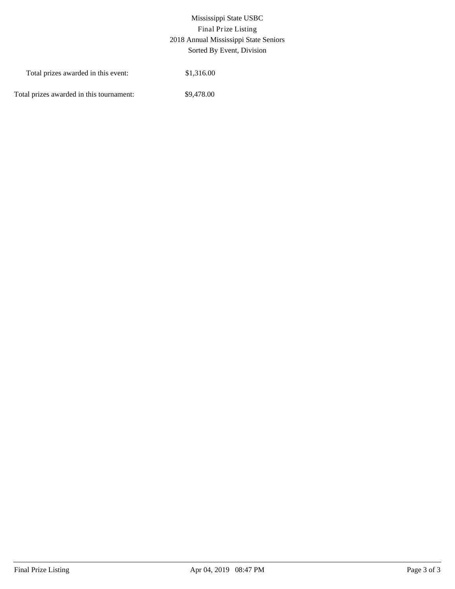# Mississippi State USBC Final Prize Listing 2018 Annual Mississippi State Seniors Sorted By Event, Division

| Total prizes awarded in this event:      | \$1,316.00 |
|------------------------------------------|------------|
| Total prizes awarded in this tournament: | \$9,478.00 |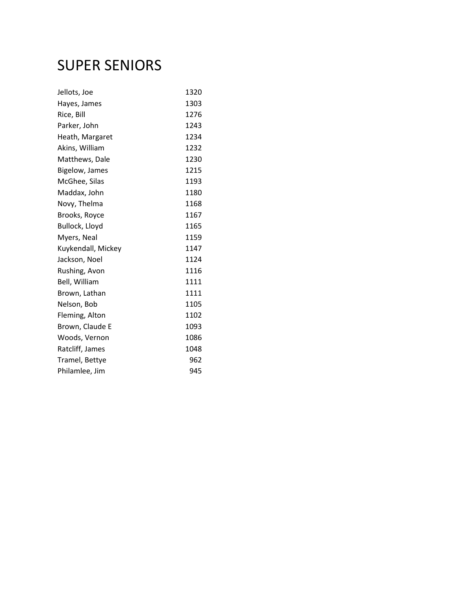# SUPER SENIORS

| Jellots, Joe       | 1320 |
|--------------------|------|
| Hayes, James       | 1303 |
| Rice, Bill         | 1276 |
| Parker, John       | 1243 |
| Heath, Margaret    | 1234 |
| Akins, William     | 1232 |
| Matthews, Dale     | 1230 |
| Bigelow, James     | 1215 |
| McGhee, Silas      | 1193 |
| Maddax, John       | 1180 |
| Novy, Thelma       | 1168 |
| Brooks, Royce      | 1167 |
| Bullock, Lloyd     | 1165 |
| Myers, Neal        | 1159 |
| Kuykendall, Mickey | 1147 |
| Jackson, Noel      | 1124 |
| Rushing, Avon      | 1116 |
| Bell, William      | 1111 |
| Brown, Lathan      | 1111 |
| Nelson, Bob        | 1105 |
| Fleming, Alton     | 1102 |
| Brown, Claude E    | 1093 |
| Woods, Vernon      | 1086 |
| Ratcliff, James    | 1048 |
| Tramel, Bettye     | 962  |
| Philamlee, Jim     | 945  |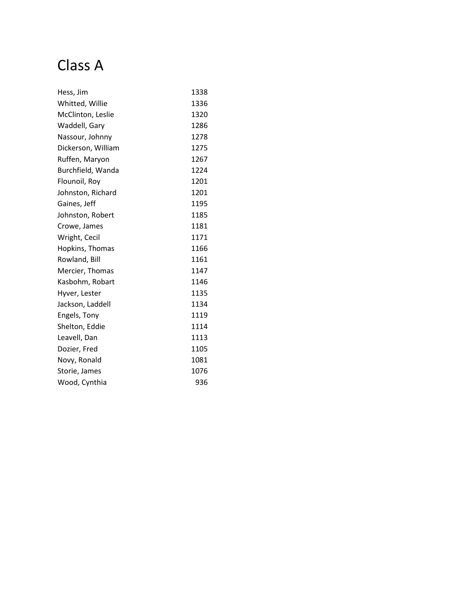# Class A

| Hess, Jim          | 1338 |
|--------------------|------|
| Whitted, Willie    | 1336 |
| McClinton, Leslie  | 1320 |
| Waddell, Gary      | 1286 |
| Nassour, Johnny    | 1278 |
| Dickerson, William | 1275 |
| Ruffen, Maryon     | 1267 |
| Burchfield, Wanda  | 1224 |
| Flounoil, Roy      | 1201 |
| Johnston, Richard  | 1201 |
| Gaines, Jeff       | 1195 |
| Johnston, Robert   | 1185 |
| Crowe, James       | 1181 |
| Wright, Cecil      | 1171 |
| Hopkins, Thomas    | 1166 |
| Rowland, Bill      | 1161 |
| Mercier, Thomas    | 1147 |
| Kasbohm, Robart    | 1146 |
| Hyver, Lester      | 1135 |
| Jackson, Laddell   | 1134 |
| Engels, Tony       | 1119 |
| Shelton, Eddie     | 1114 |
| Leavell, Dan       | 1113 |
| Dozier, Fred       | 1105 |
| Novy, Ronald       | 1081 |
| Storie, James      | 1076 |
| Wood, Cynthia      | 936  |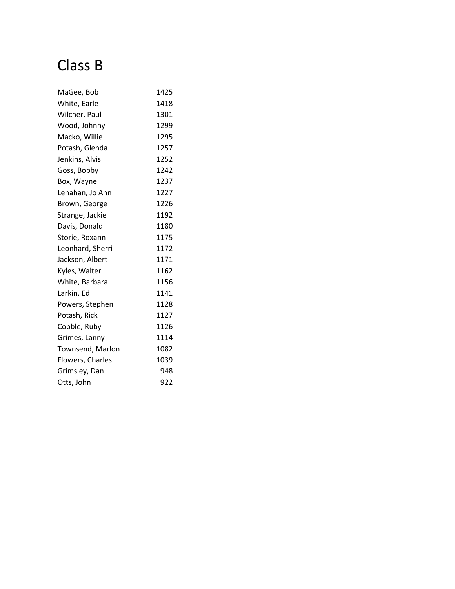# Class B

| MaGee, Bob       | 1425 |
|------------------|------|
| White, Earle     | 1418 |
| Wilcher, Paul    | 1301 |
| Wood, Johnny     | 1299 |
| Macko, Willie    | 1295 |
| Potash, Glenda   | 1257 |
| Jenkins, Alvis   | 1252 |
| Goss, Bobby      | 1242 |
| Box, Wayne       | 1237 |
| Lenahan, Jo Ann  | 1227 |
| Brown, George    | 1226 |
| Strange, Jackie  | 1192 |
| Davis, Donald    | 1180 |
| Storie, Roxann   | 1175 |
| Leonhard, Sherri | 1172 |
| Jackson, Albert  | 1171 |
| Kyles, Walter    | 1162 |
| White, Barbara   | 1156 |
| Larkin, Ed       | 1141 |
| Powers, Stephen  | 1128 |
| Potash, Rick     | 1127 |
| Cobble, Ruby     | 1126 |
| Grimes, Lanny    | 1114 |
| Townsend, Marlon | 1082 |
| Flowers, Charles | 1039 |
| Grimsley, Dan    | 948  |
| Otts, John       | 922  |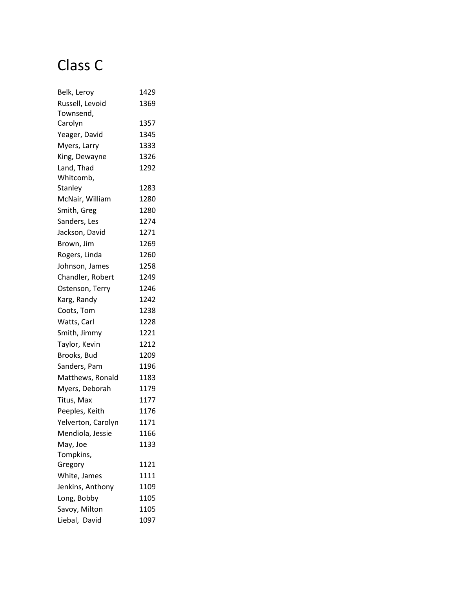# Class C

| Belk, Leroy        | 1429 |
|--------------------|------|
| Russell, Levoid    | 1369 |
| Townsend,          |      |
| Carolyn            | 1357 |
| Yeager, David      | 1345 |
| Myers, Larry       | 1333 |
| King, Dewayne      | 1326 |
| Land, Thad         | 1292 |
| Whitcomb,          |      |
| Stanley            | 1283 |
| McNair, William    | 1280 |
| Smith, Greg        | 1280 |
| Sanders, Les       | 1274 |
| Jackson, David     | 1271 |
| Brown, Jim         | 1269 |
| Rogers, Linda      | 1260 |
| Johnson, James     | 1258 |
| Chandler, Robert   | 1249 |
| Ostenson, Terry    | 1246 |
| Karg, Randy        | 1242 |
| Coots, Tom         | 1238 |
| Watts, Carl        | 1228 |
| Smith, Jimmy       | 1221 |
| Taylor, Kevin      | 1212 |
| Brooks, Bud        | 1209 |
| Sanders, Pam       | 1196 |
| Matthews, Ronald   | 1183 |
| Myers, Deborah     | 1179 |
| Titus, Max         | 1177 |
| Peeples, Keith     | 1176 |
| Yelverton, Carolyn | 1171 |
| Mendiola, Jessie   | 1166 |
| May, Joe           | 1133 |
| Tompkins,          |      |
| Gregory            | 1121 |
| White, James       | 1111 |
| Jenkins, Anthony   | 1109 |
| Long, Bobby        | 1105 |
| Savoy, Milton      | 1105 |
| Liebal, David      | 1097 |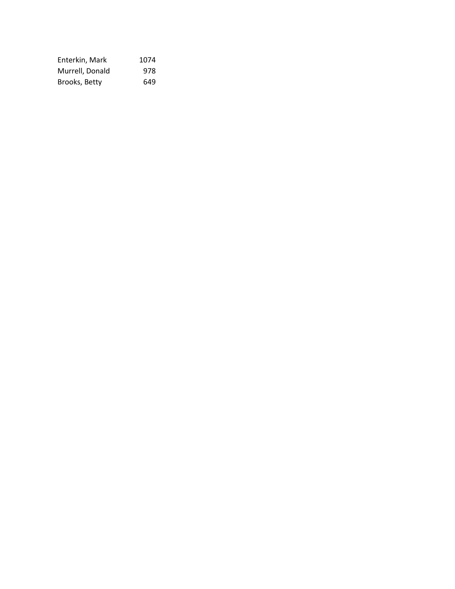| Enterkin, Mark  | 1074 |
|-----------------|------|
| Murrell, Donald | 978  |
| Brooks, Betty   | 649  |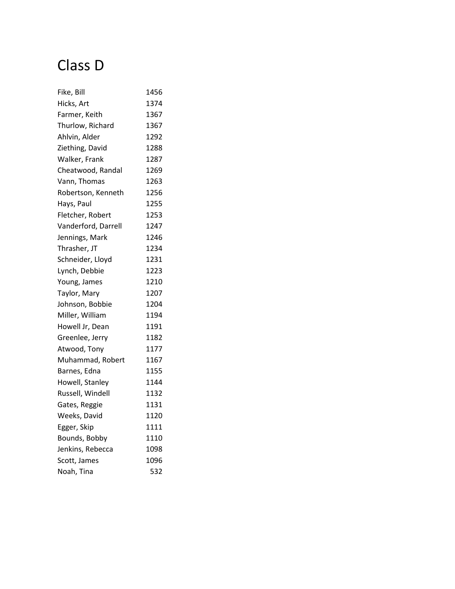# Class D

| Fike, Bill          | 1456 |
|---------------------|------|
| Hicks, Art          | 1374 |
| Farmer, Keith       | 1367 |
| Thurlow, Richard    | 1367 |
| Ahlvin, Alder       | 1292 |
| Ziething, David     | 1288 |
| Walker, Frank       | 1287 |
| Cheatwood, Randal   | 1269 |
| Vann, Thomas        | 1263 |
| Robertson, Kenneth  | 1256 |
| Hays, Paul          | 1255 |
| Fletcher, Robert    | 1253 |
| Vanderford, Darrell | 1247 |
| Jennings, Mark      | 1246 |
| Thrasher, JT        | 1234 |
| Schneider, Lloyd    | 1231 |
| Lynch, Debbie       | 1223 |
| Young, James        | 1210 |
| Taylor, Mary        | 1207 |
| Johnson, Bobbie     | 1204 |
| Miller, William     | 1194 |
| Howell Jr, Dean     | 1191 |
| Greenlee, Jerry     | 1182 |
| Atwood, Tony        | 1177 |
| Muhammad, Robert    | 1167 |
| Barnes, Edna        | 1155 |
| Howell, Stanley     | 1144 |
| Russell, Windell    | 1132 |
| Gates, Reggie       | 1131 |
| Weeks, David        | 1120 |
| Egger, Skip         | 1111 |
| Bounds, Bobby       | 1110 |
| Jenkins, Rebecca    | 1098 |
| Scott, James        | 1096 |
| Noah, Tina          | 532  |